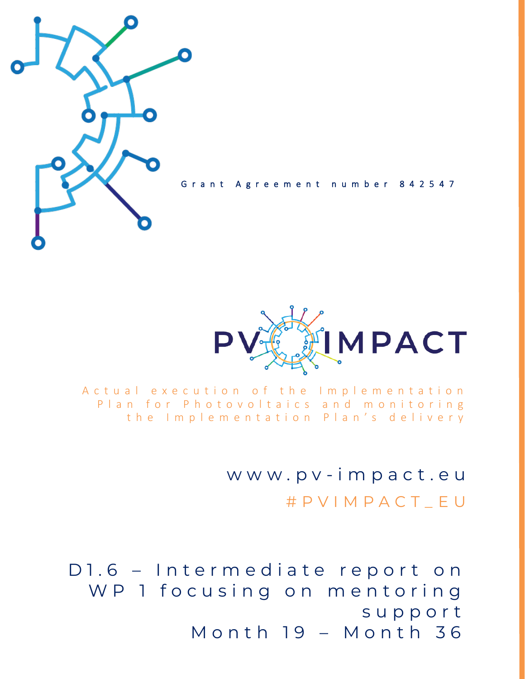

Grant Agreement number 842547



A c t u a l e x e c u t i o n o f t h e Implementation Plan for Photovoltaics and monitoring the Implementation Plan's delivery

> w w w . p v - i m p a c t . e u # P V I M P A C T \_ E U

D1.6 - Intermediate report on WP 1 focusing on mentoring s u p p o r t M o n t h 19 - M o n t h 36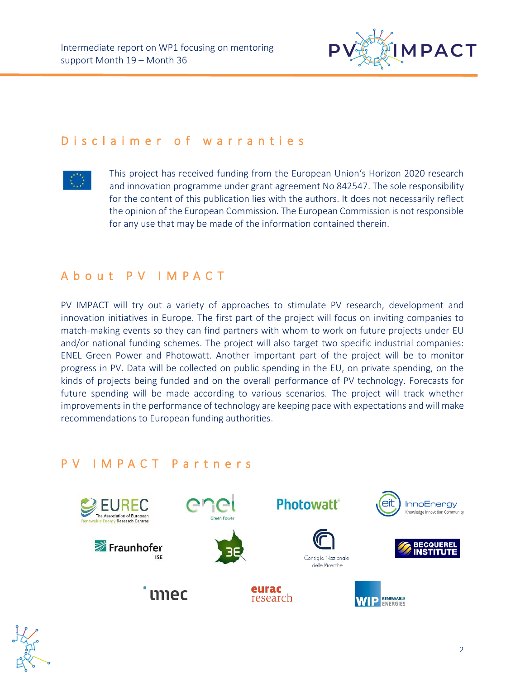

## D is claimer of warranties



This project has received funding from the European Union's Horizon 2020 research and innovation programme under grant agreement No 842547. The sole responsibility for the content of this publication lies with the authors. It does not necessarily reflect the opinion of the European Commission. The European Commission is not responsible for any use that may be made of the information contained therein.

## A b o u t P V I M P A C T

PV IMPACT will try out a variety of approaches to stimulate PV research, development and innovation initiatives in Europe. The first part of the project will focus on inviting companies to match-making events so they can find partners with whom to work on future projects under EU and/or national funding schemes. The project will also target two specific industrial companies: ENEL Green Power and Photowatt. Another important part of the project will be to monitor progress in PV. Data will be collected on public spending in the EU, on private spending, on the kinds of projects being funded and on the overall performance of PV technology. Forecasts for future spending will be made according to various scenarios. The project will track whether improvements in the performance of technology are keeping pace with expectations and will make recommendations to European funding authorities.

## P V I M P A C T P a r t n e r s



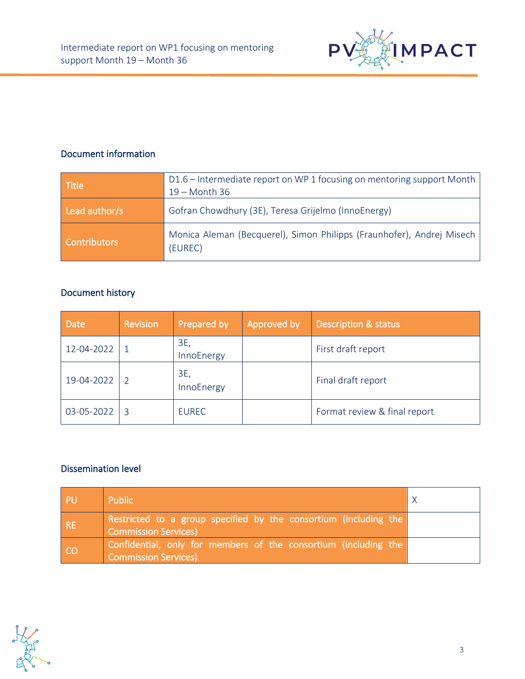

### Document information

| <b>Title</b>        | D1.6 - Intermediate report on WP 1 focusing on mentoring support Month<br>$19 - \text{Month } 36$ |
|---------------------|---------------------------------------------------------------------------------------------------|
| Lead author/s       | Gofran Chowdhury (3E), Teresa Grijelmo (InnoEnergy)                                               |
| <b>Contributors</b> | Monica Aleman (Becquerel), Simon Philipps (Fraunhofer), Andrej Misech<br>(EUREC)                  |

#### Document history

| <b>Date</b> | Revision | Prepared by       | Approved by | <b>Description &amp; status</b> |
|-------------|----------|-------------------|-------------|---------------------------------|
| 12-04-2022  |          | 3E,<br>InnoEnergy |             | First draft report              |
| 19-04-2022  |          | 3E,<br>InnoEnergy |             | Final draft report              |
| 03-05-2022  | ्द       | <b>EUREC</b>      |             | Format review & final report    |

#### Dissemination level

| / PU       | Public                                                                                           |  |
|------------|--------------------------------------------------------------------------------------------------|--|
| <b>IRE</b> | Restricted to a group specified by the consortium (including the<br><b>Commission Services</b> ) |  |
| CO         | Confidential, only for members of the consortium (including the<br><b>Commission Services)</b>   |  |

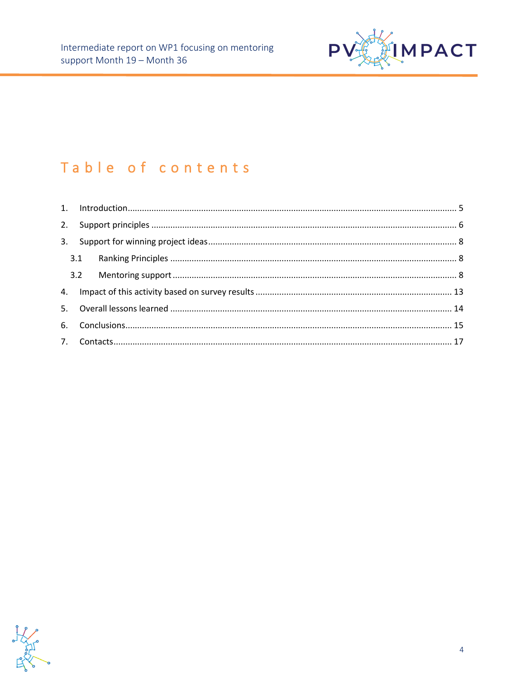

# Table of contents

Analysis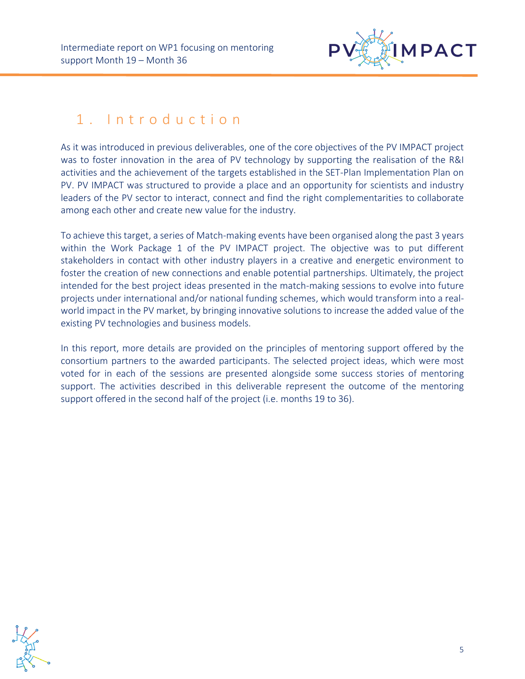

# <span id="page-4-0"></span>1 . I n t r o d u c t i o n

As it was introduced in previous deliverables, one of the core objectives of the PV IMPACT project was to foster innovation in the area of PV technology by supporting the realisation of the R&I activities and the achievement of the targets established in the SET-Plan Implementation Plan on PV. PV IMPACT was structured to provide a place and an opportunity for scientists and industry leaders of the PV sector to interact, connect and find the right complementarities to collaborate among each other and create new value for the industry.

To achieve this target, a series of Match-making events have been organised along the past 3 years within the Work Package 1 of the PV IMPACT project. The objective was to put different stakeholders in contact with other industry players in a creative and energetic environment to foster the creation of new connections and enable potential partnerships. Ultimately, the project intended for the best project ideas presented in the match-making sessions to evolve into future projects under international and/or national funding schemes, which would transform into a realworld impact in the PV market, by bringing innovative solutions to increase the added value of the existing PV technologies and business models.

In this report, more details are provided on the principles of mentoring support offered by the consortium partners to the awarded participants. The selected project ideas, which were most voted for in each of the sessions are presented alongside some success stories of mentoring support. The activities described in this deliverable represent the outcome of the mentoring support offered in the second half of the project (i.e. months 19 to 36).

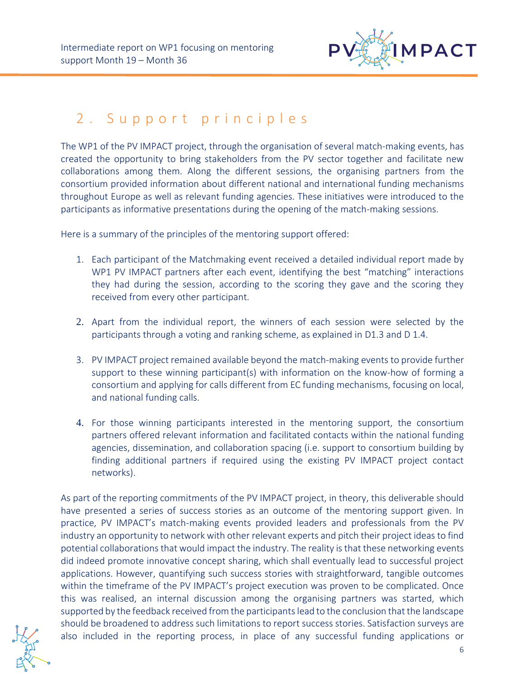

# <span id="page-5-0"></span>2. Support principles

The WP1 of the PV IMPACT project, through the organisation of several match-making events, has created the opportunity to bring stakeholders from the PV sector together and facilitate new collaborations among them. Along the different sessions, the organising partners from the consortium provided information about different national and international funding mechanisms throughout Europe as well as relevant funding agencies. These initiatives were introduced to the participants as informative presentations during the opening of the match-making sessions.

Here is a summary of the principles of the mentoring support offered:

- 1. Each participant of the Matchmaking event received a detailed individual report made by WP1 PV IMPACT partners after each event, identifying the best "matching" interactions they had during the session, according to the scoring they gave and the scoring they received from every other participant.
- 2. Apart from the individual report, the winners of each session were selected by the participants through a voting and ranking scheme, as explained in D1.3 and D 1.4.
- 3. PV IMPACT project remained available beyond the match-making events to provide further support to these winning participant(s) with information on the know-how of forming a consortium and applying for calls different from EC funding mechanisms, focusing on local, and national funding calls.
- 4. For those winning participants interested in the mentoring support, the consortium partners offered relevant information and facilitated contacts within the national funding agencies, dissemination, and collaboration spacing (i.e. support to consortium building by finding additional partners if required using the existing PV IMPACT project contact networks).

As part of the reporting commitments of the PV IMPACT project, in theory, this deliverable should have presented a series of success stories as an outcome of the mentoring support given. In practice, PV IMPACT's match-making events provided leaders and professionals from the PV industry an opportunity to network with other relevant experts and pitch their project ideas to find potential collaborations that would impact the industry. The reality is that these networking events did indeed promote innovative concept sharing, which shall eventually lead to successful project applications. However, quantifying such success stories with straightforward, tangible outcomes within the timeframe of the PV IMPACT's project execution was proven to be complicated. Once this was realised, an internal discussion among the organising partners was started, which supported by the feedback received from the participants lead to the conclusion that the landscape should be broadened to address such limitations to report success stories. Satisfaction surveys are also included in the reporting process, in place of any successful funding applications or

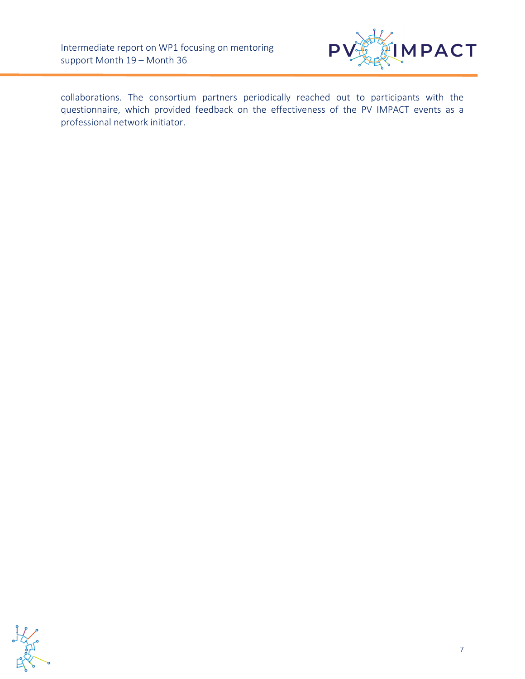

collaborations. The consortium partners periodically reached out to participants with the questionnaire, which provided feedback on the effectiveness of the PV IMPACT events as a professional network initiator.

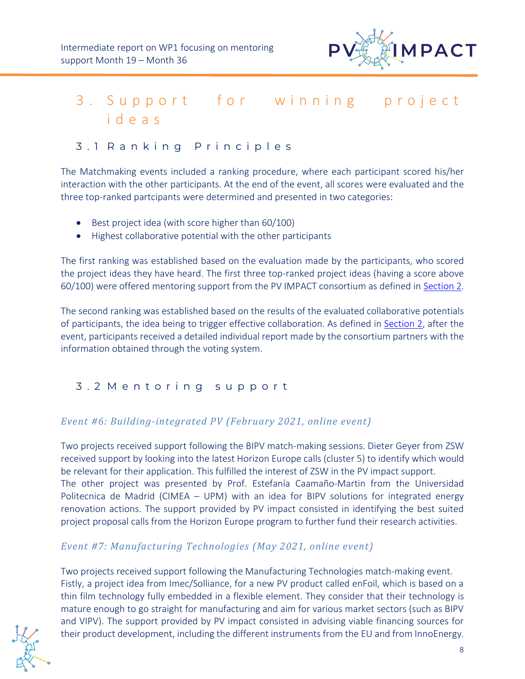

# <span id="page-7-0"></span>3. Support for winning project i d e a s

### <span id="page-7-1"></span>3 . 1 R a n k i n g P r i n c i p l e s

The Matchmaking events included a ranking procedure, where each participant scored his/her interaction with the other participants. At the end of the event, all scores were evaluated and the three top-ranked partcipants were determined and presented in two categories:

- Best project idea (with score higher than 60/100)
- Highest collaborative potential with the other participants

The first ranking was established based on the evaluation made by the participants, who scored the project ideas they have heard. The first three top-ranked project ideas (having a score above 60/100) were offered mentoring support from the PV IMPACT consortium as defined in [Section 2.](#page-5-0)

The second ranking was established based on the results of the evaluated collaborative potentials of participants, the idea being to trigger effective collaboration. As defined in [Section 2,](#page-5-0) after the event, participants received a detailed individual report made by the consortium partners with the information obtained through the voting system.

### <span id="page-7-2"></span>3 . 2 M e n t o r i n g s u p p o r t

#### *Event #6: Building-integrated PV (February 2021, online event)*

Two projects received support following the BIPV match-making sessions. Dieter Geyer from ZSW received support by looking into the latest Horizon Europe calls (cluster 5) to identify which would be relevant for their application. This fulfilled the interest of ZSW in the PV impact support. The other project was presented by Prof. Estefanía Caamaño-Martin from the Universidad Politecnica de Madrid (CIMEA – UPM) with an idea for BIPV solutions for integrated energy renovation actions. The support provided by PV impact consisted in identifying the best suited project proposal calls from the Horizon Europe program to further fund their research activities.

### *Event #7: Manufacturing Technologies (May 2021, online event)*

Two projects received support following the Manufacturing Technologies match-making event. Fistly, a project idea from Imec/Solliance, for a new PV product called enFoil, which is based on a thin film technology fully embedded in a flexible element. They consider that their technology is mature enough to go straight for manufacturing and aim for various market sectors (such as BIPV and VIPV). The support provided by PV impact consisted in advising viable financing sources for their product development, including the different instruments from the EU and from InnoEnergy.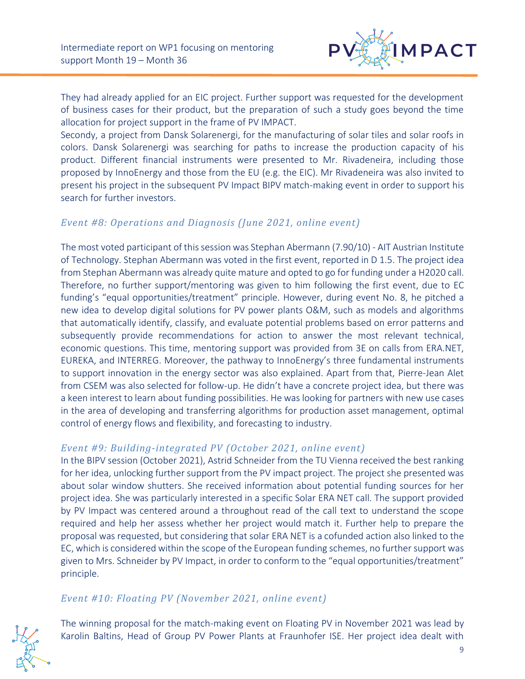

They had already applied for an EIC project. Further support was requested for the development of business cases for their product, but the preparation of such a study goes beyond the time allocation for project support in the frame of PV IMPACT.

Secondy, a project from Dansk Solarenergi, for the manufacturing of solar tiles and solar roofs in colors. Dansk Solarenergi was searching for paths to increase the production capacity of his product. Different financial instruments were presented to Mr. Rivadeneira, including those proposed by InnoEnergy and those from the EU (e.g. the EIC). Mr Rivadeneira was also invited to present his project in the subsequent PV Impact BIPV match-making event in order to support his search for further investors.

#### *Event #8: Operations and Diagnosis (June 2021, online event)*

The most voted participant of this session was Stephan Abermann (7.90/10) - AIT Austrian Institute of Technology. Stephan Abermann was voted in the first event, reported in D 1.5. The project idea from Stephan Abermann was already quite mature and opted to go for funding under a H2020 call. Therefore, no further support/mentoring was given to him following the first event, due to EC funding's "equal opportunities/treatment" principle. However, during event No. 8, he pitched a new idea to develop digital solutions for PV power plants O&M, such as models and algorithms that automatically identify, classify, and evaluate potential problems based on error patterns and subsequently provide recommendations for action to answer the most relevant technical, economic questions. This time, mentoring support was provided from 3E on calls from ERA.NET, EUREKA, and INTERREG. Moreover, the pathway to InnoEnergy's three fundamental instruments to support innovation in the energy sector was also explained. Apart from that, Pierre-Jean Alet from CSEM was also selected for follow-up. He didn't have a concrete project idea, but there was a keen interest to learn about funding possibilities. He was looking for partners with new use cases in the area of developing and transferring algorithms for production asset management, optimal control of energy flows and flexibility, and forecasting to industry.

#### *Event #9: Building-integrated PV (October 2021, online event)*

In the BIPV session (October 2021), Astrid Schneider from the TU Vienna received the best ranking for her idea, unlocking further support from the PV impact project. The project she presented was about solar window shutters. She received information about potential funding sources for her project idea. She was particularly interested in a specific Solar ERA NET call. The support provided by PV Impact was centered around a throughout read of the call text to understand the scope required and help her assess whether her project would match it. Further help to prepare the proposal was requested, but considering that solar ERA NET is a cofunded action also linked to the EC, which is considered within the scope of the European funding schemes, no further support was given to Mrs. Schneider by PV Impact, in order to conform to the "equal opportunities/treatment" principle.

#### *Event #10: Floating PV (November 2021, online event)*



The winning proposal for the match-making event on Floating PV in November 2021 was lead by Karolin Baltins, Head of Group PV Power Plants at Fraunhofer ISE. Her project idea dealt with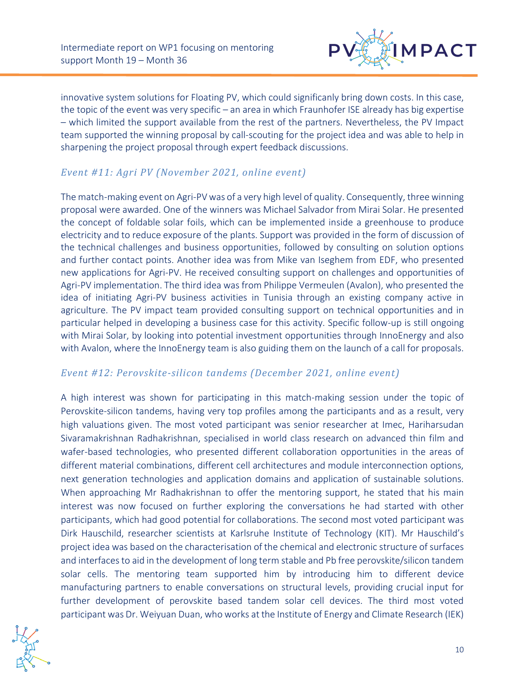

innovative system solutions for Floating PV, which could significanly bring down costs. In this case, the topic of the event was very specific – an area in which Fraunhofer ISE already has big expertise – which limited the support available from the rest of the partners. Nevertheless, the PV Impact team supported the winning proposal by call-scouting for the project idea and was able to help in sharpening the project proposal through expert feedback discussions.

#### *Event #11: Agri PV (November 2021, online event)*

The match-making event on Agri-PV was of a very high level of quality. Consequently, three winning proposal were awarded. One of the winners was Michael Salvador from Mirai Solar. He presented the concept of foldable solar foils, which can be implemented inside a greenhouse to produce electricity and to reduce exposure of the plants. Support was provided in the form of discussion of the technical challenges and business opportunities, followed by consulting on solution options and further contact points. Another idea was from Mike van Iseghem from EDF, who presented new applications for Agri-PV. He received consulting support on challenges and opportunities of Agri-PV implementation. The third idea was from Philippe Vermeulen (Avalon), who presented the idea of initiating Agri-PV business activities in Tunisia through an existing company active in agriculture. The PV impact team provided consulting support on technical opportunities and in particular helped in developing a business case for this activity. Specific follow-up is still ongoing with Mirai Solar, by looking into potential investment opportunities through InnoEnergy and also with Avalon, where the InnoEnergy team is also guiding them on the launch of a call for proposals.

#### *Event #12: Perovskite-silicon tandems (December 2021, online event)*

A high interest was shown for participating in this match-making session under the topic of Perovskite-silicon tandems, having very top profiles among the participants and as a result, very high valuations given. The most voted participant was senior researcher at Imec, Hariharsudan Sivaramakrishnan Radhakrishnan, specialised in world class research on advanced thin film and wafer-based technologies, who presented different collaboration opportunities in the areas of different material combinations, different cell architectures and module interconnection options, next generation technologies and application domains and application of sustainable solutions. When approaching Mr Radhakrishnan to offer the mentoring support, he stated that his main interest was now focused on further exploring the conversations he had started with other participants, which had good potential for collaborations. The second most voted participant was Dirk Hauschild, researcher scientists at Karlsruhe Institute of Technology (KIT). Mr Hauschild's project idea was based on the characterisation of the chemical and electronic structure of surfaces and interfaces to aid in the development of long term stable and Pb free perovskite/silicon tandem solar cells. The mentoring team supported him by introducing him to different device manufacturing partners to enable conversations on structural levels, providing crucial input for further development of perovskite based tandem solar cell devices. The third most voted participant was Dr. Weiyuan Duan, who works at the Institute of Energy and Climate Research (IEK)

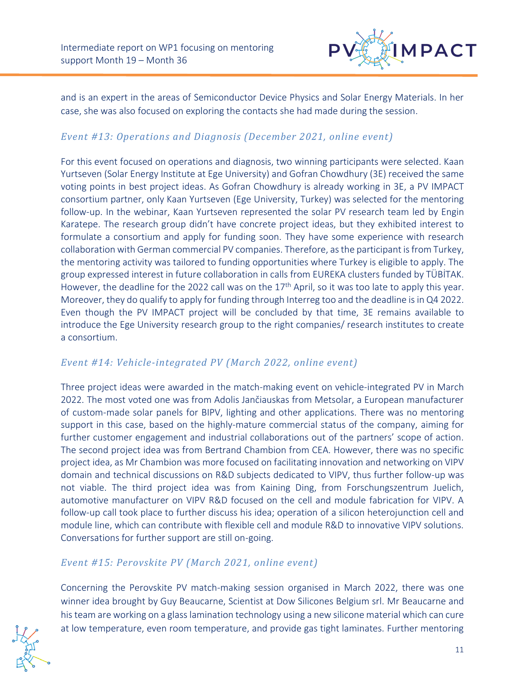

and is an expert in the areas of Semiconductor Device Physics and Solar Energy Materials. In her case, she was also focused on exploring the contacts she had made during the session.

#### *Event #13: Operations and Diagnosis (December 2021, online event)*

For this event focused on operations and diagnosis, two winning participants were selected. Kaan Yurtseven (Solar Energy Institute at Ege University) and Gofran Chowdhury (3E) received the same voting points in best project ideas. As Gofran Chowdhury is already working in 3E, a PV IMPACT consortium partner, only Kaan Yurtseven (Ege University, Turkey) was selected for the mentoring follow-up. In the webinar, Kaan Yurtseven represented the solar PV research team led by Engin Karatepe. The research group didn't have concrete project ideas, but they exhibited interest to formulate a consortium and apply for funding soon. They have some experience with research collaboration with German commercial PV companies. Therefore, as the participant is from Turkey, the mentoring activity was tailored to funding opportunities where Turkey is eligible to apply. The group expressed interest in future collaboration in calls from EUREKA clusters funded by TÜBİTAK. However, the deadline for the 2022 call was on the 17<sup>th</sup> April, so it was too late to apply this year. Moreover, they do qualify to apply for funding through Interreg too and the deadline is in Q4 2022. Even though the PV IMPACT project will be concluded by that time, 3E remains available to introduce the Ege University research group to the right companies/ research institutes to create a consortium.

#### *Event #14: Vehicle-integrated PV (March 2022, online event)*

Three project ideas were awarded in the match-making event on vehicle-integrated PV in March 2022. The most voted one was from Adolis Jančiauskas from Metsolar, a European manufacturer of custom-made solar panels for BIPV, lighting and other applications. There was no mentoring support in this case, based on the highly-mature commercial status of the company, aiming for further customer engagement and industrial collaborations out of the partners' scope of action. The second project idea was from Bertrand Chambion from CEA. However, there was no specific project idea, as Mr Chambion was more focused on facilitating innovation and networking on VIPV domain and technical discussions on R&D subjects dedicated to VIPV, thus further follow-up was not viable. The third project idea was from Kaining Ding, from Forschungszentrum Juelich, automotive manufacturer on VIPV R&D focused on the cell and module fabrication for VIPV. A follow-up call took place to further discuss his idea; operation of a silicon heterojunction cell and module line, which can contribute with flexible cell and module R&D to innovative VIPV solutions. Conversations for further support are still on-going.

#### *Event #15: Perovskite PV (March 2021, online event)*

Concerning the Perovskite PV match-making session organised in March 2022, there was one winner idea brought by Guy Beaucarne, Scientist at Dow Silicones Belgium srl. Mr Beaucarne and his team are working on a glass lamination technology using a new silicone material which can cure at low temperature, even room temperature, and provide gas tight laminates. Further mentoring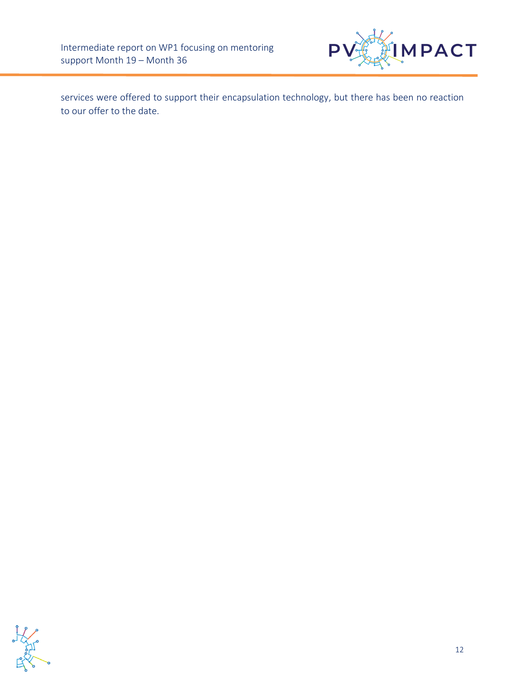

services were offered to support their encapsulation technology, but there has been no reaction to our offer to the date.

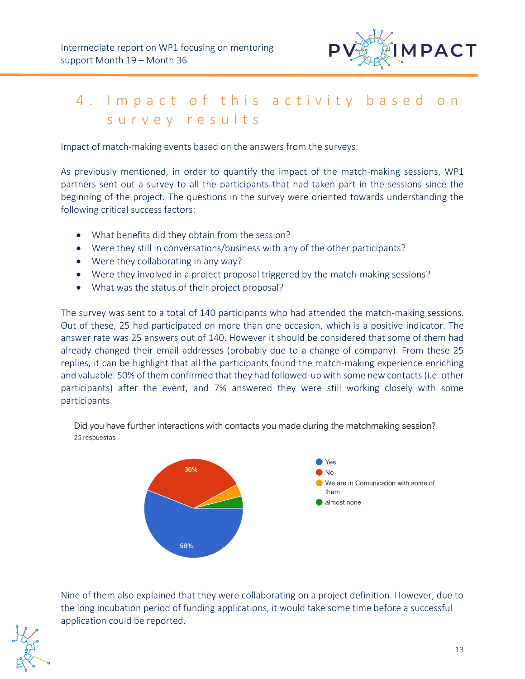

# <span id="page-12-0"></span>4. Impact of this activity based on survey results

Impact of match-making events based on the answers from the surveys:

As previously mentioned, in order to quantify the impact of the match-making sessions, WP1 partners sent out a survey to all the participants that had taken part in the sessions since the beginning of the project. The questions in the survey were oriented towards understanding the following critical success factors:

- What benefits did they obtain from the session?
- Were they still in conversations/business with any of the other participants?
- Were they collaborating in any way?
- Were they involved in a project proposal triggered by the match-making sessions?
- What was the status of their project proposal?

The survey was sent to a total of 140 participants who had attended the match-making sessions. Out of these, 25 had participated on more than one occasion, which is a positive indicator. The answer rate was 25 answers out of 140. However it should be considered that some of them had already changed their email addresses (probably due to a change of company). From these 25 replies, it can be highlight that all the participants found the match-making experience enriching and valuable. 50% of them confirmed that they had followed-up with some new contacts(i.e. other participants) after the event, and 7% answered they were still working closely with some participants.

Did you have further interactions with contacts you made during the matchmaking session? 25 respuestas



Nine of them also explained that they were collaborating on a project definition. However, due to the long incubation period of funding applications, it would take some time before a successful application could be reported.

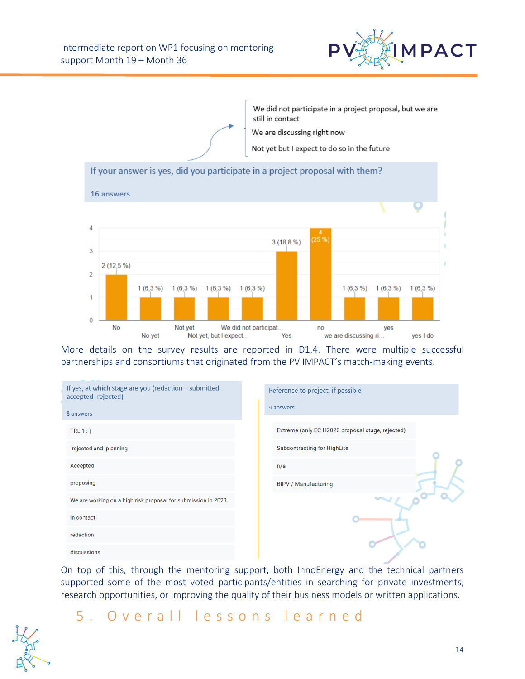



More details on the survey results are reported in D1.4. There were multiple successful partnerships and consortiums that originated from the PV IMPACT's match-making events.

| If yes, at which stage are you (redaction $-$ submitted $-$<br>accepted -rejected) | Reference to project, if possible                |
|------------------------------------------------------------------------------------|--------------------------------------------------|
| 8 answers                                                                          | 4 answers                                        |
| TRL $1:$                                                                           | Extreme (only EC H2020 proposal stage, rejected) |
| -rejected and -planning                                                            | <b>Subcontracting for HighLite</b>               |
| Accepted                                                                           | n/a                                              |
| proposing                                                                          | <b>BIPV / Manufacturing</b>                      |
| We are working on a high risk proposal for submission in 2023                      |                                                  |
| in contact                                                                         |                                                  |
| redaction                                                                          |                                                  |
| discussions                                                                        |                                                  |

On top of this, through the mentoring support, both InnoEnergy and the technical partners supported some of the most voted participants/entities in searching for private investments, research opportunities, or improving the quality of their business models or written applications.

# <span id="page-13-0"></span>5. Overall lessons learned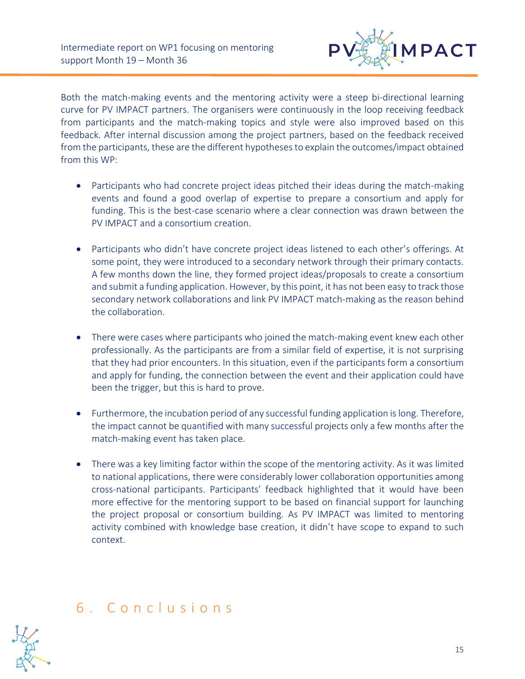

Both the match-making events and the mentoring activity were a steep bi-directional learning curve for PV IMPACT partners. The organisers were continuously in the loop receiving feedback from participants and the match-making topics and style were also improved based on this feedback. After internal discussion among the project partners, based on the feedback received from the participants, these are the different hypotheses to explain the outcomes/impact obtained from this WP:

- Participants who had concrete project ideas pitched their ideas during the match-making events and found a good overlap of expertise to prepare a consortium and apply for funding. This is the best-case scenario where a clear connection was drawn between the PV IMPACT and a consortium creation.
- Participants who didn't have concrete project ideas listened to each other's offerings. At some point, they were introduced to a secondary network through their primary contacts. A few months down the line, they formed project ideas/proposals to create a consortium and submit a funding application. However, by this point, it has not been easy to track those secondary network collaborations and link PV IMPACT match-making as the reason behind the collaboration.
- There were cases where participants who joined the match-making event knew each other professionally. As the participants are from a similar field of expertise, it is not surprising that they had prior encounters. In this situation, even if the participants form a consortium and apply for funding, the connection between the event and their application could have been the trigger, but this is hard to prove.
- Furthermore, the incubation period of any successful funding application is long. Therefore, the impact cannot be quantified with many successful projects only a few months after the match-making event has taken place.
- There was a key limiting factor within the scope of the mentoring activity. As it was limited to national applications, there were considerably lower collaboration opportunities among cross-national participants. Participants' feedback highlighted that it would have been more effective for the mentoring support to be based on financial support for launching the project proposal or consortium building. As PV IMPACT was limited to mentoring activity combined with knowledge base creation, it didn't have scope to expand to such context.

# <span id="page-14-0"></span>6 . C o n c l u s i o n s

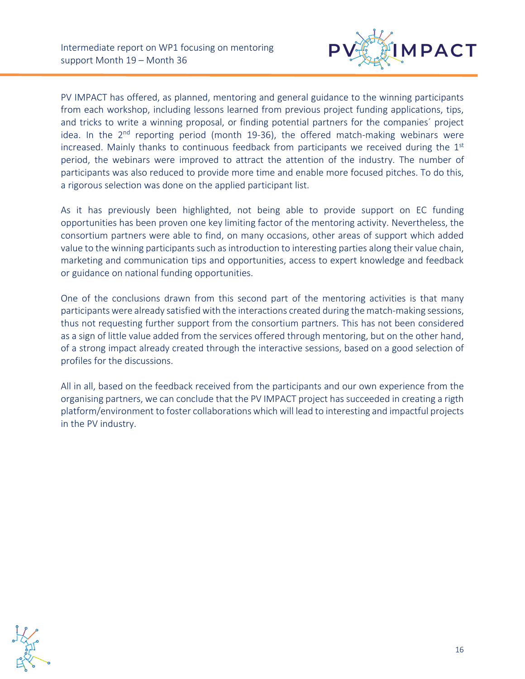

PV IMPACT has offered, as planned, mentoring and general guidance to the winning participants from each workshop, including lessons learned from previous project funding applications, tips, and tricks to write a winning proposal, or finding potential partners for the companies´ project idea. In the 2<sup>nd</sup> reporting period (month 19-36), the offered match-making webinars were increased. Mainly thanks to continuous feedback from participants we received during the  $1<sup>st</sup>$ period, the webinars were improved to attract the attention of the industry. The number of participants was also reduced to provide more time and enable more focused pitches. To do this, a rigorous selection was done on the applied participant list.

As it has previously been highlighted, not being able to provide support on EC funding opportunities has been proven one key limiting factor of the mentoring activity. Nevertheless, the consortium partners were able to find, on many occasions, other areas of support which added value to the winning participants such as introduction to interesting parties along their value chain, marketing and communication tips and opportunities, access to expert knowledge and feedback or guidance on national funding opportunities.

One of the conclusions drawn from this second part of the mentoring activities is that many participants were already satisfied with the interactions created during the match-making sessions, thus not requesting further support from the consortium partners. This has not been considered as a sign of little value added from the services offered through mentoring, but on the other hand, of a strong impact already created through the interactive sessions, based on a good selection of profiles for the discussions.

All in all, based on the feedback received from the participants and our own experience from the organising partners, we can conclude that the PV IMPACT project has succeeded in creating a rigth platform/environment to foster collaborations which will lead to interesting and impactful projects in the PV industry.